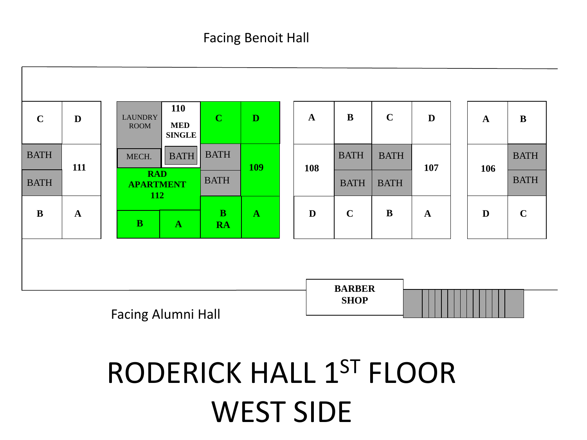

# RODERICK HALL 1ST FLOOR WEST SIDE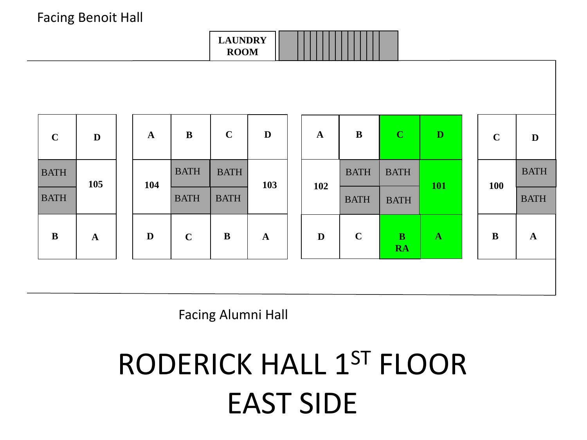

| $\mathbf C$ | D           | $\mathbf A$ | $\bf{B}$    | $\mathbf C$ | D            | $\mathbf A$  | $\bf{B}$    | $\mathbf{C}$              | $\mathbf D$  |  | $\mathbf C$ | D            |
|-------------|-------------|-------------|-------------|-------------|--------------|--------------|-------------|---------------------------|--------------|--|-------------|--------------|
| <b>BATH</b> | 105         | 104         | <b>BATH</b> | <b>BATH</b> | 103          | 102          | <b>BATH</b> | <b>BATH</b>               | <b>101</b>   |  | <b>100</b>  | <b>BATH</b>  |
| <b>BATH</b> |             |             | <b>BATH</b> | <b>BATH</b> |              |              | <b>BATH</b> | <b>BATH</b>               |              |  | <b>BATH</b> |              |
| $\bf{B}$    | $\mathbf A$ | $\mathbf D$ | $\mathbf C$ | $\bf{B}$    | $\mathbf{A}$ | $\mathbf{D}$ | $\mathbf C$ | $\mathbf{B}$<br><b>RA</b> | $\mathbf{A}$ |  | $\bf{B}$    | $\mathbf{A}$ |
|             |             |             |             |             |              |              |             |                           |              |  |             |              |

Facing Alumni Hall

## RODERICK HALL 1ST FLOOR EAST SIDE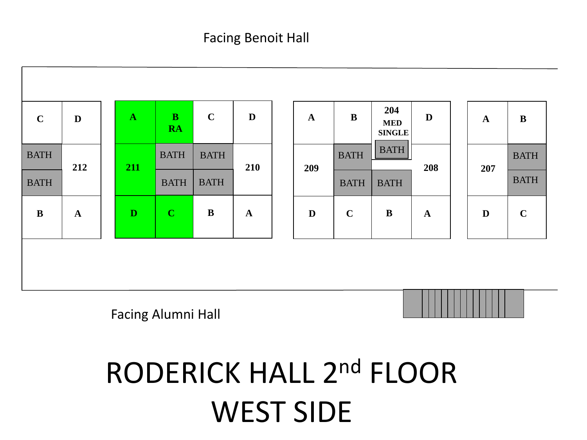| <b>BATH</b><br><b>BATH</b><br><b>BATH</b><br><b>BATH</b><br><b>BATH</b><br>212<br>210<br>211<br>208<br>209<br>207<br><b>BATH</b><br><b>BATH</b><br><b>BATH</b><br><b>BATH</b><br><b>BATH</b> |             | <b>MED</b><br><b>SINGLE</b> | $\mathbf A$ | D | $\mathbf C$ | $\mathbf{B}$<br><b>RA</b> | $\mathbf{A}$ | D | $\mathbf C$ |
|----------------------------------------------------------------------------------------------------------------------------------------------------------------------------------------------|-------------|-----------------------------|-------------|---|-------------|---------------------------|--------------|---|-------------|
|                                                                                                                                                                                              | <b>BATH</b> |                             |             |   |             |                           |              |   |             |
|                                                                                                                                                                                              | <b>BATH</b> |                             |             |   |             |                           |              |   |             |
| $\bf C$<br>$\bf{B}$<br>D<br>$\bf{B}$<br>$\bf{B}$<br>D<br>$\mathbf C$<br>D<br>$\mathbf A$<br>$\mathbf{A}$<br>$\mathbf A$                                                                      | $\mathbf C$ |                             |             |   |             |                           |              |   |             |

Facing Alumni Hall

### RODERICK HALL 2nd FLOOR WEST SIDE